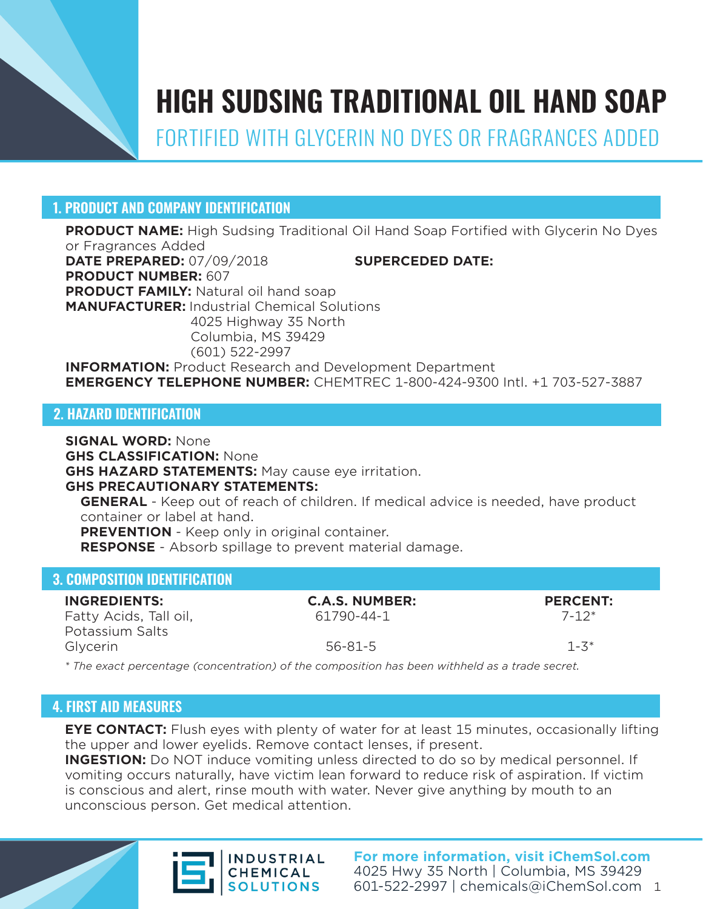

# **HIGH SUDSING TRADITIONAL OIL HAND SOAP**

FORTIFIED WITH GLYCERIN NO DYES OR FRAGRANCES ADDED

# **1. PRODUCT AND COMPANY IDENTIFICATION**

**PRODUCT NAME:** High Sudsing Traditional Oil Hand Soap Fortified with Glycerin No Dyes or Fragrances Added **DATE PREPARED:** 07/09/2018 **SUPERCEDED DATE: PRODUCT NUMBER:** 607 **PRODUCT FAMILY:** Natural oil hand soap **MANUFACTURER:** Industrial Chemical Solutions 4025 Highway 35 North Columbia, MS 39429 (601) 522-2997 **INFORMATION:** Product Research and Development Department **EMERGENCY TELEPHONE NUMBER:** CHEMTREC 1-800-424-9300 Intl. +1 703-527-3887

# **2. HAZARD IDENTIFICATION**

**SIGNAL WORD:** None **GHS CLASSIFICATION:** None **GHS HAZARD STATEMENTS:** May cause eye irritation. **GHS PRECAUTIONARY STATEMENTS: GENERAL** - Keep out of reach of children. If medical advice is needed, have product container or label at hand. **PREVENTION** - Keep only in original container. **RESPONSE** - Absorb spillage to prevent material damage.

# **3. COMPOSITION IDENTIFICATION**

| <b>INGREDIENTS:</b>    | <b>C.A.S. NUMBER:</b>                                                                          | <b>PERCENT:</b> |
|------------------------|------------------------------------------------------------------------------------------------|-----------------|
| Fatty Acids, Tall oil, | 61790-44-1                                                                                     | $7 - 12*$       |
| Potassium Salts        |                                                                                                |                 |
| Glycerin               | $56 - 81 - 5$                                                                                  | $1 - 3*$        |
|                        | * The exact percentage (concentration) of the composition has been withheld as a trade secret. |                 |

# **4. FIRST AID MEASURES**

**EYE CONTACT:** Flush eyes with plenty of water for at least 15 minutes, occasionally lifting the upper and lower eyelids. Remove contact lenses, if present.

**INGESTION:** Do NOT induce vomiting unless directed to do so by medical personnel. If vomiting occurs naturally, have victim lean forward to reduce risk of aspiration. If victim is conscious and alert, rinse mouth with water. Never give anything by mouth to an unconscious person. Get medical attention.





**For more information, visit iChemSol.com** 4025 Hwy 35 North | Columbia, MS 39429 601-522-2997 | chemicals@iChemSol.com 1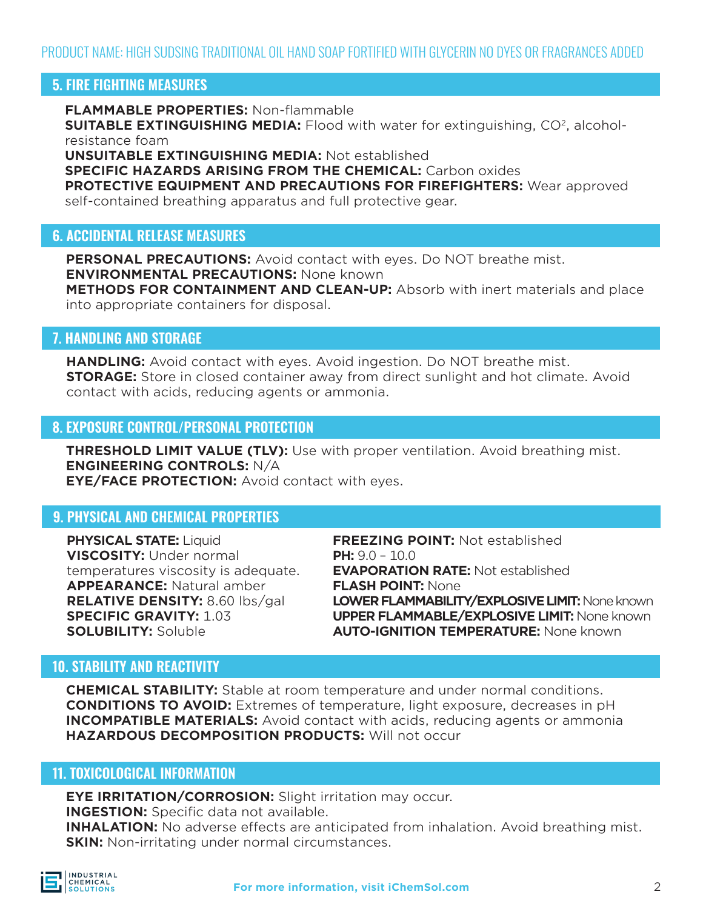PRODUCT NAME: HIGH SUDSING TRADITIONAL OIL HAND SOAP FORTIFIED WITH GLYCERIN NO DYES OR FRAGRANCES ADDED

# **5. FIRE FIGHTING MEASURES**

**FLAMMABLE PROPERTIES:** Non-flammable

**SUITABLE EXTINGUISHING MEDIA:** Flood with water for extinguishing, CO<sup>2</sup>, alcoholresistance foam

**UNSUITABLE EXTINGUISHING MEDIA:** Not established

**SPECIFIC HAZARDS ARISING FROM THE CHEMICAL:** Carbon oxides

**PROTECTIVE EQUIPMENT AND PRECAUTIONS FOR FIREFIGHTERS:** Wear approved self-contained breathing apparatus and full protective gear.

#### **6. ACCIDENTAL RELEASE MEASURES**

**PERSONAL PRECAUTIONS:** Avoid contact with eyes. Do NOT breathe mist. **ENVIRONMENTAL PRECAUTIONS:** None known **METHODS FOR CONTAINMENT AND CLEAN-UP:** Absorb with inert materials and place into appropriate containers for disposal.

#### **7. HANDLING AND STORAGE**

**HANDLING:** Avoid contact with eyes. Avoid ingestion. Do NOT breathe mist. **STORAGE:** Store in closed container away from direct sunlight and hot climate. Avoid contact with acids, reducing agents or ammonia.

#### **8. EXPOSURE CONTROL/PERSONAL PROTECTION**

**THRESHOLD LIMIT VALUE (TLV):** Use with proper ventilation. Avoid breathing mist. **ENGINEERING CONTROLS:** N/A **EYE/FACE PROTECTION:** Avoid contact with eyes.

### **9. PHYSICAL AND CHEMICAL PROPERTIES**

**PHYSICAL STATE:** Liquid **VISCOSITY:** Under normal temperatures viscosity is adequate. **APPEARANCE:** Natural amber **RELATIVE DENSITY:** 8.60 lbs/gal **SPECIFIC GRAVITY:** 1.03 **SOLUBILITY:** Soluble

**FREEZING POINT:** Not established **PH:** 9.0 – 10.0 **EVAPORATION RATE:** Not established **FLASH POINT:** None **LOWER FLAMMABILITY/EXPLOSIVE LIMIT: None known UPPER FLAMMABLE/EXPLOSIVE LIMIT:** None known **AUTO-IGNITION TEMPERATURE:** None known

### **10. STABILITY AND REACTIVITY**

**CHEMICAL STABILITY:** Stable at room temperature and under normal conditions. **CONDITIONS TO AVOID:** Extremes of temperature, light exposure, decreases in pH **INCOMPATIBLE MATERIALS:** Avoid contact with acids, reducing agents or ammonia **HAZARDOUS DECOMPOSITION PRODUCTS:** Will not occur

#### **11. TOXICOLOGICAL INFORMATION**

**EYE IRRITATION/CORROSION:** Slight irritation may occur. **INGESTION:** Specific data not available.

**INHALATION:** No adverse effects are anticipated from inhalation. Avoid breathing mist. **SKIN:** Non-irritating under normal circumstances.